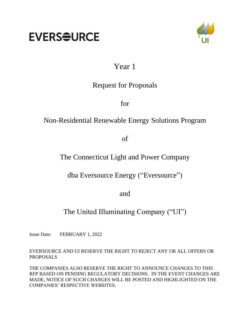# **EVERS<del>Q</del>URCE**



# Year 1

# Request for Proposals

for

# Non-Residential Renewable Energy Solutions Program

of

### The Connecticut Light and Power Company

dba Eversource Energy ("Eversource")

and

# The United Illuminating Company ("UI")

Issue Date: FEBRUARY 1, 2022

EVERSOURCE AND UI RESERVE THE RIGHT TO REJECT ANY OR ALL OFFERS OR PROPOSALS

THE COMPANIES ALSO RESERVE THE RIGHT TO ANNOUNCE CHANGES TO THIS RFP BASED ON PENDING REGULATORY DECISIONS. IN THE EVENT CHANGES ARE MADE, NOTICE OF SUCH CHANGES WILL BE POSTED AND HIGHLIGHTED ON THE COMPANIES' RESPECTIVE WEBSITES.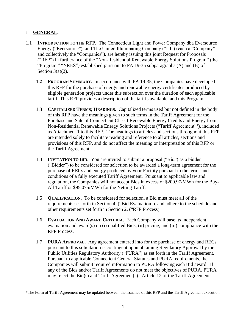#### **1 GENERAL.**

- 1.1 **INTRODUCTION TO THE RFP.** The Connecticut Light and Power Company dba Eversource Energy ("Eversource"), and The United Illuminating Company ("UI") (each a "Company" and collectively the "Companies"), are hereby issuing this joint Request for Proposals ("RFP") in furtherance of the "Non-Residential Renewable Energy Solutions Program" (the "Program," "NRES") established pursuant to PA 19-35 subparagraphs (A) and (B) of Section  $3(a)(2)$ .
	- **1.2 PROGRAM SUMMARY.** In accordance with PA 19-35, the Companies have developed this RFP for the purchase of energy and renewable energy certificates produced by eligible generation projects under this subsection over the duration of each applicable tariff. This RFP provides a description of the tariffs available, and this Program.
	- 1.3 **CAPITALIZED TERMS; HEADINGS.** Capitalized terms used but not defined in the body of this RFP have the meanings given to such terms in the Tariff Agreement for the Purchase and Sale of Connecticut Class I Renewable Energy Credits and Energy from Non-Residential Renewable Energy Solutions Projects ("Tariff Agreement"<sup>1</sup>), included as Attachment 1 to this RFP. The headings to articles and sections throughout this RFP are intended solely to facilitate reading and reference to all articles, sections and provisions of this RFP, and do not affect the meaning or interpretation of this RFP or the Tariff Agreement.
	- 1.4 **INVITATION TO BID**. You are invited to submit a proposal ("Bid") as a bidder ("Bidder") to be considered for selection to be awarded a long-term agreement for the purchase of RECs and energy produced by your Facility pursuant to the terms and conditions of a fully executed Tariff Agreement. Pursuant to applicable law and regulation, the Companies will not accept Bids in excess of \$200.97/MWh for the Buy-All Tariff or \$95.075/MWh for the Netting Tariff.
	- 1.5 **QUALIFICATION.** To be considered for selection, a Bid must meet all of the requirements set forth in Section 4, ("Bid Evaluation"), and adhere to the schedule and other requirements set forth in Section 2, ("RFP Process).
	- 1.6 **EVALUATION AND AWARD CRITERIA.** Each Company will base its independent evaluation and award(s) on (i) qualified Bids, (ii) pricing, and (iii) compliance with the RFP Process.
	- 1.7 **PURA APPROVAL.** Any agreement entered into for the purchase of energy and RECs pursuant to this solicitation is contingent upon obtaining Regulatory Approval by the Public Utilities Regulatory Authority ("PURA") as set forth in the Tariff Agreement. Pursuant to applicable Connecticut General Statutes and PURA requirements, the Companies will submit required information to PURA following each Bid award. If any of the Bids and/or Tariff Agreements do not meet the objectives of PURA, PURA may reject the Bid(s) and Tariff Agreement(s). Article 12 of the Tariff Agreement

<sup>1</sup> The Form of Tariff Agreement may be updated between the issuance of this RFP and the Tariff Agreement execution.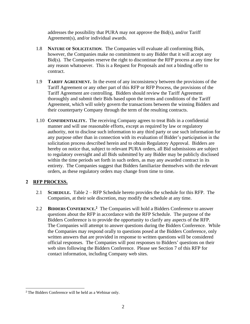addresses the possibility that PURA may not approve the Bid(s), and/or Tariff Agreement(s), and/or individual awards.

- 1.8 **NATURE OF SOLICITATION**. The Companies will evaluate all conforming Bids, however, the Companies make no commitment to any Bidder that it will accept any Bid(s). The Companies reserve the right to discontinue the RFP process at any time for any reason whatsoever. This is a Request for Proposals and not a binding offer to contract.
- 1.9 **TARIFF AGREEMENT.** In the event of any inconsistency between the provisions of the Tariff Agreement or any other part of this RFP or RFP Process, the provisions of the Tariff Agreement are controlling. Bidders should review the Tariff Agreement thoroughly and submit their Bids based upon the terms and conditions of the Tariff Agreement, which will solely govern the transactions between the winning Bidders and their counterparty Company through the term of the resulting contracts.
- 1.10 **CONFIDENTIALITY.** The receiving Company agrees to treat Bids in a confidential manner and will use reasonable efforts, except as required by law or regulatory authority, not to disclose such information to any third party or use such information for any purpose other than in connection with its evaluation of Bidder's participation in the solicitation process described herein and to obtain Regulatory Approval. Bidders are hereby on notice that, subject to relevant PURA orders, all Bid submissions are subject to regulatory oversight and all Bids submitted by any Bidder may be publicly disclosed within the time periods set forth in such orders, as may any awarded contract in its entirety. The Companies suggest that Bidders familiarize themselves with the relevant orders, as these regulatory orders may change from time to time.

#### **2 RFP PROCESS.**

- 2.1 **SCHEDULE.** Table 2 RFP Schedule hereto provides the schedule for this RFP. The Companies, at their sole discretion, may modify the schedule at any time.
- 2.2 **BIDDERS CONFERENCE. 2** The Companies will hold a Bidders Conference to answer questions about the RFP in accordance with the RFP Schedule. The purpose of the Bidders Conference is to provide the opportunity to clarify any aspects of the RFP. The Companies will attempt to answer questions during the Bidders Conference. While the Companies may respond orally to questions posed at the Bidders Conference, only written answers that are provided in response to written questions will be considered official responses. The Companies will post responses to Bidders' questions on their web sites following the Bidders Conference. Please see Section 7 of this RFP for contact information, including Company web sites.

<sup>2</sup> The Bidders Conference will be held as a Webinar only.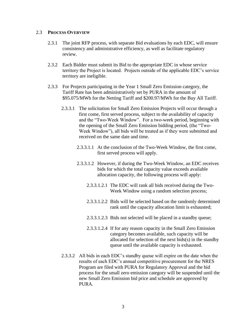#### 2.3 **PROCESS OVERVIEW**

- 2.3.1 The joint RFP process, with separate Bid evaluations by each EDC, will ensure consistency and administrative efficiency, as well as facilitate regulatory review.
- 2.3.2 Each Bidder must submit its Bid to the appropriate EDC in whose service territory the Project is located. Projects outside of the applicable EDC's service territory are ineligible.
- 2.3.3 For Projects participating in the Year 1 Small Zero Emission category, the Tariff Rate has been administratively set by PURA in the amount of \$95.075/MWh for the Netting Tariff and \$200.97/MWh for the Buy All Tariff.
	- 2.3.3.1 The solicitation for Small Zero Emission Projects will occur through a first come, first served process, subject to the availability of capacity and the "Two-Week Window". For a two-week period, beginning with the opening of the Small Zero Emission bidding period, (the "Two-Week Window"), all bids will be treated as if they were submitted and received on the same date and time.
		- 2.3.3.1.1 At the conclusion of the Two-Week Window, the first come, first served process will apply.
		- 2.3.3.1.2 However, if during the Two-Week Window, an EDC receives bids for which the total capacity value exceeds available allocation capacity, the following process will apply:
			- 2.3.3.1.2.1 The EDC will rank all bids received during the Two-Week Window using a random selection process;
			- 2.3.3.1.2.2 Bids will be selected based on the randomly determined rank until the capacity allocation limit is exhausted;
			- 2.3.3.1.2.3 Bids not selected will be placed in a standby queue;
			- 2.3.3.1.2.4 If for any reason capacity in the Small Zero Emission category becomes available, such capacity will be allocated for selection of the next bids(s) in the standby queue until the available capacity is exhausted.
	- 2.3.3.2 All bids in each EDC's standby queue will expire on the date when the results of each EDC's annual competitive procurement for the NRES Program are filed with PURA for Regulatory Approval and the bid process for the small zero emission category will be suspended until the new Small Zero Emission bid price and schedule are approved by PURA.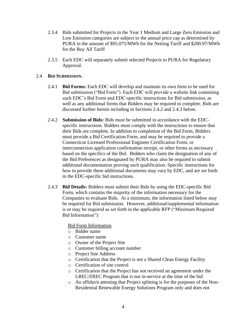- 2.3.4 Bids submitted for Projects in the Year 1 Medium and Large Zero Emission and Low Emission categories are subject to the annual price cap as determined by PURA in the amount of \$95.075/MWh for the Netting Tariff and \$200.97/MWh for the Buy All Tariff
- 2.3.5 Each EDC will separately submit selected Projects to PURA for Regulatory Approval.

#### 2.4 **BID SUBMISSION.**

- 2.4.1 **Bid Forms:** Each EDC will develop and maintain its own form to be used for Bid submission ("Bid Form"). Each EDC will provide a website link containing such EDC's Bid Form and EDC-specific instructions for Bid submission, as well as any additional forms that Bidders may be required to complete. Bids are discussed further herein including in Sections 2.4.2 and 2.4.3 below.
- 2.4.2 **Submission of Bids:** Bids must be submitted in accordance with the EDCspecific instructions. Bidders must comply with the instructions to ensure that their Bids are complete. In addition to completion of the Bid Form, Bidders must provide a Bid Certification Form, and may be required to provide a Connecticut Licensed Professional Engineer Certification Form, or interconnection application confirmation receipt, or other forms as necessary based on the specifics of the Bid. Bidders who claim the designation of any of the Bid Preferences as designated by PURA may also be required to submit additional documentation proving such qualification. Specific instructions for how to provide these additional documents may vary by EDC, and are set forth in the EDC-specific bid instructions.
- 2.4.3 **Bid Details:** Bidders must submit their Bids by using the EDC-specific Bid Form, which contains the majority of the information necessary for the Companies to evaluate Bids. At a minimum, the information listed below may be required for Bid submission. However, additional/supplemental information is or may be required as set forth in the applicable RFP ("Minimum Required Bid Information"):

Bid Form Information

- o Bidder name
- o Customer name
- o Owner of the Project Site
- o Customer billing account number
- o Project Site Address
- o Certification that the Project is not a Shared Clean Energy Facility
- o Certification of site control
- o Certification that the Project has not received an agreement under the LREC/ZREC Program that is not in-service at the time of the bid
- o An affidavit attesting that Project splitting is for the purposes of the Non-Residential Renewable Energy Solutions Program only and does not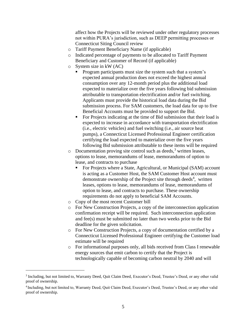affect how the Projects will be reviewed under other regulatory processes not within PURA's jurisdiction, such as DEEP permitting processes or Connecticut Siting Council review

- o Tariff Payment Beneficiary Name (if applicable)
- o Indicated percentage of payments to be allocated to Tariff Payment Beneficiary and Customer of Record (if applicable)
- o System size in kW (AC)
	- **•** Program participants must size the system such that a system's expected annual production does not exceed the highest annual consumption over any 12-month period plus the additional load expected to materialize over the five years following bid submission attributable to transportation electrification and/or fuel switching. Applicants must provide the historical load data during the Bid submission process. For SAM customers, the load data for up to five Beneficial Accounts must be provided to support the Bid.
	- For Projects indicating at the time of Bid submission that their load is expected to increase in accordance with transportation electrification (i.e., electric vehicles) and fuel switching (i.e., air source heat pumps), a Connecticut Licensed Professional Engineer certification certifying the load expected to materialize over the five years following Bid submission attributable to these items will be required
- $\circ$  Documentation proving site control such as deeds,<sup>3</sup> written leases, options to lease, memorandums of lease, memorandums of option to lease, and contracts to purchase
	- For Projects where a State, Agricultural, or Municipal (SAM) account is acting as a Customer Host, the SAM Customer Host account must demonstrate ownership of the Project site through deeds<sup>4</sup>, written leases, options to lease, memorandums of lease, memorandums of option to lease, and contracts to purchase. These ownership requirements do not apply to beneficial SAM Accounts.
- o Copy of the most recent Customer bill
- o For New Construction Projects, a copy of the interconnection application confirmation receipt will be required. Such interconnection application and fee(s) must be submitted no later than two weeks prior to the Bid deadline for the given solicitation.
- o For New Construction Projects, a copy of documentation certified by a Connecticut Licensed Professional Engineer certifying the Customer load estimate will be required
- o For informational purposes only, all bids received from Class I renewable energy sources that emit carbon to certify that the Project is technologically capable of becoming carbon neutral by 2040 and will

<sup>&</sup>lt;sup>3</sup> Including, but not limited to, Warranty Deed, Quit Claim Deed, Executor's Deed, Trustee's Deed, or any other valid proof of ownership.

<sup>&</sup>lt;sup>4</sup> Including, but not limited to, Warranty Deed, Quit Claim Deed, Executor's Deed, Trustee's Deed, or any other valid proof of ownership.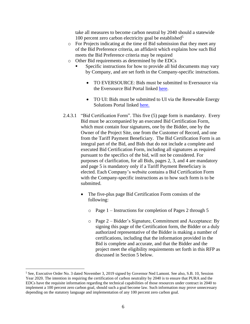take all measures to become carbon neutral by 2040 should a statewide 100 percent zero carbon electricity goal be established $5$ 

- o For Projects indicating at the time of Bid submission that they meet any of the Bid Preference criteria, an affidavit which explains how such Bid meets the Bid Preference criteria may be required
- o Other Bid requirements as determined by the EDCs
	- Specific instructions for how to provide all bid documents may vary by Company, and are set forth in the Company-specific instructions.
		- TO EVERSOURCE: Bids must be submitted to Eversource via the Eversource Bid Portal linked [here.](https://www.eversource.com/security/account/Login?ReturnUrl=/clp/recbid/)
		- TO UI: Bids must be submitted to UI via the Renewable Energy Solutions Portal linked [here.](https://www3.uinet.com/DistributedGeneration/)
- 2.4.3.1 "Bid Certification Form". This five (5) page form is mandatory. Every Bid must be accompanied by an executed Bid Certification Form, which must contain four signatures, one by the Bidder, one by the Owner of the Project Site, one from the Customer of Record, and one from the Tariff Payment Beneficiary. The Bid Certification Form is an integral part of the Bid, and Bids that do not include a complete and executed Bid Certification Form, including all signatures as required pursuant to the specifics of the bid, will not be considered. For purposes of clarification, for all Bids, pages 2, 3, and 4 are mandatory and page 5 is mandatory only if a Tariff Payment Beneficiary is elected. Each Company's website contains a Bid Certification Form with the Company-specific instructions as to how such form is to be submitted.
	- The five-plus page Bid Certification Form consists of the following:
		- o Page 1 Instructions for completion of Pages 2 through 5
		- o Page 2 Bidder's Signature, Commitment and Acceptance: By signing this page of the Certification form, the Bidder or a duly authorized representative of the Bidder is making a number of certifications, including that the information provided in the Bid is complete and accurate, and that the Bidder and the project meet the eligibility requirements set forth in this RFP as discussed in Section 5 below.

<sup>5</sup> See, Executive Order No. 3 dated November 3, 2019 signed by Governor Ned Lamont. See also, S.B. 10, Session Year 2020. The intention in requiring the certification of carbon neutrality by 2040 is to ensure that PURA and the EDCs have the requisite information regarding the technical capabilities of those resources under contract in 2040 to implement a 100 percent zero carbon goal, should such a goal become law. Such information may prove unnecessary depending on the statutory language and implementation of any 100 percent zero carbon goal.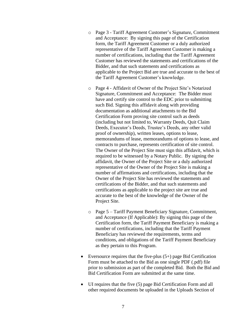- o Page 3 Tariff Agreement Customer's Signature, Commitment and Acceptance: By signing this page of the Certification form, the Tariff Agreement Customer or a duly authorized representative of the Tariff Agreement Customer is making a number of certifications, including that the Tariff Agreement Customer has reviewed the statements and certifications of the Bidder, and that such statements and certifications as applicable to the Project Bid are true and accurate to the best of the Tariff Agreement Customer's knowledge.
- o Page 4 Affidavit of Owner of the Project Site's Notarized Signature, Commitment and Acceptance: The Bidder must have and certify site control to the EDC prior to submitting such Bid. Signing this affidavit along with providing documentation as additional attachments to the Bid Certification Form proving site control such as deeds (including but not limited to, Warranty Deeds, Quit Claim Deeds, Executor's Deeds, Trustee's Deeds, any other valid proof of ownership), written leases, options to lease, memorandums of lease, memorandums of options to lease, and contracts to purchase, represents certification of site control. The Owner of the Project Site must sign this affidavit, which is required to be witnessed by a Notary Public. By signing the affidavit, the Owner of the Project Site or a duly authorized representative of the Owner of the Project Site is making a number of affirmations and certifications, including that the Owner of the Project Site has reviewed the statements and certifications of the Bidder, and that such statements and certifications as applicable to the project site are true and accurate to the best of the knowledge of the Owner of the Project Site.
- o Page 5 Tariff Payment Beneficiary Signature, Commitment, and Acceptance (If Applicable): By signing this page of the Certification form, the Tariff Payment Beneficiary is making a number of certifications, including that the Tariff Payment Beneficiary has reviewed the requirements, terms and conditions, and obligations of the Tariff Payment Beneficiary as they pertain to this Program.
- Eversource requires that the five-plus  $(5+)$  page Bid Certification Form must be attached to the Bid as one single PDF (.pdf) file prior to submission as part of the completed Bid. Both the Bid and Bid Certification Form are submitted at the same time.
- UI requires that the five (5) page Bid Certification Form and all other required documents be uploaded in the Uploads Section of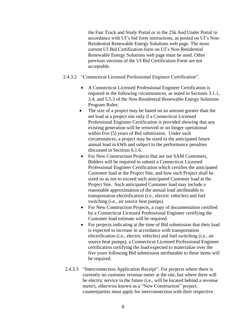the Fast Track and Study Portal or in the 25k And Under Portal in accordance with UI's bid form instructions, as posted on UI's Non-Residential Renewable Energy Solutions web page. The most current UI Bid Certification form on UI's Non-Residential Renewable Energy Solutions web page must be used. Other previous versions of the UI Bid Certification Form are not acceptable.

- 2.4.3.2 "Connecticut Licensed Professional Engineer Certification".
	- A Connecticut Licensed Professional Engineer Certification is required in the following circumstances, as noted in Sections 3.1.1, 3.4, and 5.5.3 of the Non-Residential Renewable Energy Solutions Program Rules:
	- The size of a project may be based on an amount greater than the net load at a project site only if a Connecticut Licensed Professional Engineer Certification is provided showing that any existing generation will be removed or no longer operational within five (5) years of Bid submission. Under such circumstances, a project may be sized to the anticipated future annual load in kWh and subject to the performance penalties discussed in Sections 6.1.6.
	- For New Construction Projects that are not SAM Customers, Bidders will be required to submit a Connecticut Licensed Professional Engineer Certification which certifies the anticipated Customer load at the Project Site, and how such Project shall be sized so as not to exceed such anticipated Customer load at the Project Site. Such anticipated Customer load may include a reasonable approximation of the annual load attributable to transportation electrification (i.e., electric vehicles) and fuel switching (i.e., air source heat pumps).
	- For New Construction Projects, a copy of documentation certified by a Connecticut Licensed Professional Engineer certifying the Customer load estimate will be required.
	- For projects indicating at the time of Bid submission that their load is expected to increase in accordance with transportation electrification (i.e., electric vehicles) and fuel switching (i.e., air source heat pumps), a Connecticut Licensed Professional Engineer certification certifying the load expected to materialize over the five years following Bid submission attributable to these items will be required.
- 2.4.3.3 "Interconnection Application Receipt". For projects where there is currently no customer revenue meter at the site, but where there will be electric service in the future (i.e., will be located behind a revenue meter), otherwise known as a "New Construction" project, counterparties must apply for interconnection with their respective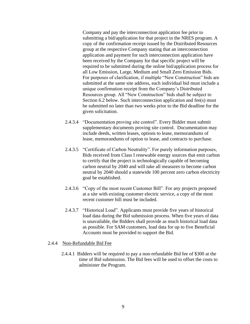Company and pay the interconnection application fee prior to submitting a bid/application for that project in the NRES program. A copy of the confirmation receipt issued by the Distributed Resources group at the respective Company stating that an interconnection application and payment for such interconnection application have been received by the Company for that specific project will be required to be submitted during the online bid/application process for all Low Emission, Large, Medium and Small Zero Emission Bids. For purposes of clarification, if multiple "New Construction" bids are submitted at the same site address, each individual bid must include a unique confirmation receipt from the Company's Distributed Resources group. All "New Construction" bids shall be subject to Section 6.2 below. Such interconnection application and fee(s) must be submitted no later than two weeks prior to the Bid deadline for the given solicitation.

- 2.4.3.4 "Documentation proving site control". Every Bidder must submit supplementary documents proving site control. Documentation may include deeds, written leases, options to lease, memorandums of lease, memorandums of option to lease, and contracts to purchase.
- 2.4.3.5 "Certificate of Carbon Neutrality". For purely information purposes, Bids received from Class I renewable energy sources that emit carbon to certify that the project is technologically capable of becoming carbon neutral by 2040 and will take all measures to become carbon neutral by 2040 should a statewide 100 percent zero carbon electricity goal be established.
- 2.4.3.6 "Copy of the most recent Customer Bill". For any projects proposed at a site with existing customer electric service, a copy of the most recent customer bill must be included.
- 2.4.3.7 "Historical Load". Applicants must provide five years of historical load data during the Bid submission process. When five years of data is unavailable, the Bidders shall provide as much historical load data as possible. For SAM customers, load data for up to five Beneficial Accounts must be provided to support the Bid.

#### 2.4.4 Non-Refundable Bid Fee

2.4.4.1 Bidders will be required to pay a non-refundable Bid fee of \$300 at the time of Bid submission. The Bid fees will be used to offset the costs to administer the Program.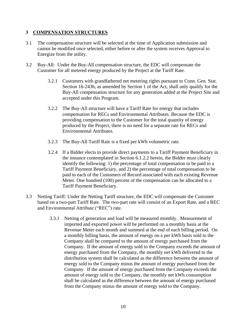#### **3 COMPENSATION STRUCTURES**

- 3.1 The compensation structure will be selected at the time of Application submission and cannot be modified once selected, either before or after the system receives Approval to Energize from the utility.
- 3.2 Buy-All: Under the Buy-All compensation structure, the EDC will compensate the Customer for all metered energy produced by the Project at the Tariff Rate.
	- 3.2.1 Customers with grandfathered net metering rights pursuant to Conn. Gen. Stat. Section 16-243h, as amended by Section 1 of the Act, shall only qualify for the Buy-All compensation structure for any generation added at the Project Site and accepted under this Program.
	- 3.2.2 The Buy-All structure will have a Tariff Rate for energy that includes compensation for RECs and Environmental Attributes. Because the EDC is providing compensation to the Customer for the total quantity of energy produced by the Project, there is no need for a separate rate for RECs and Environmental Attributes.
	- 3.2.3 The Buy-All Tariff Rate is a fixed per kWh volumetric rate.
	- 3.2.4 If a Bidder elects to provide direct payments to a Tariff Payment Beneficiary in the instance contemplated in Section 6.1.2.2 herein, the Bidder must clearly identify the following: 1) the percentage of total compensation to be paid to a Tariff Payment Beneficiary, and 2) the percentage of total compensation to be paid to each of the Customers of Record associated with each existing Revenue Meter. One hundred (100) percent of the compensation can be allocated to a Tariff Payment Beneficiary.
- 3.3 Netting Tariff: Under the Netting Tariff structure, the EDC will compensate the Customer based on a two-part Tariff Rate. The two-part rate will consist of an Export Rate, and a REC and Environmental Attribute ("REC") rate.
	- 3.3.1 Netting of generation and load will be measured monthly. Measurement of imported and exported power will be performed on a monthly basis at the Revenue Meter each month and summed at the end of each billing period. On a monthly billing basis, the amount of energy on a per kWh basis sold to the Company shall be compared to the amount of energy purchased from the Company. If the amount of energy sold to the Company exceeds the amount of energy purchased from the Company, the monthly net kWh delivered to the distribution system shall be calculated as the difference between the amount of energy sold to the Company minus the amount of energy purchased from the Company. If the amount of energy purchased from the Company exceeds the amount of energy sold to the Company, the monthly net kWh consumption shall be calculated as the difference between the amount of energy purchased from the Company minus the amount of energy sold to the Company.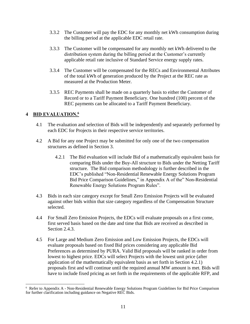- 3.3.2 The Customer will pay the EDC for any monthly net kWh consumption during the billing period at the applicable EDC retail rate.
- 3.3.3 The Customer will be compensated for any monthly net kWh delivered to the distribution system during the billing period at the Customer's currently applicable retail rate inclusive of Standard Service energy supply rates.
- 3.3.4 The Customer will be compensated for the RECs and Environmental Attributes of the total kWh of generation produced by the Project at the REC rate as measured at the Production Meter.
- 3.3.5 REC Payments shall be made on a quarterly basis to either the Customer of Record or to a Tariff Payment Beneficiary. One hundred (100) percent of the REC payments can be allocated to a Tariff Payment Beneficiary.

#### **4 BID EVALUATION. 6**

- 4.1 The evaluation and selection of Bids will be independently and separately performed by each EDC for Projects in their respective service territories.
- 4.2 A Bid for any one Project may be submitted for only one of the two compensation structures as defined in Section 3.
	- 4.2.1 The Bid evaluation will include Bid of a mathematically equivalent basis for comparing Bids under the Buy-All structure to Bids under the Netting Tariff structure. The Bid comparison methodology is further described in the EDC's published "Non-Residential Renewable Energy Solutions Program Bid Price Comparison Guidelines," in Appendix A of the" Non-Residential Renewable Energy Solutions Program Rules".
- 4.3 Bids in each size category except for Small Zero Emission Projects will be evaluated against other bids within that size category regardless of the Compensation Structure selected.
- 4.4 For Small Zero Emission Projects, the EDCs will evaluate proposals on a first come, first served basis based on the date and time that Bids are received as described in Section 2.4.3.
- 4.5 For Large and Medium Zero Emission and Low Emission Projects, the EDCs will evaluate proposals based on fixed Bid prices considering any applicable Bid Preferences as determined by PURA. Valid Bid proposals will be ranked in order from lowest to highest price. EDCs will select Projects with the lowest unit price (after application of the mathematically equivalent basis as set forth in Section 4.2.1) proposals first and will continue until the required annual MW amount is met. Bids will have to include fixed pricing as set forth in the requirements of the applicable RFP, and

<sup>6</sup> Refer to Appendix A - Non-Residential Renewable Energy Solutions Program Guidelines for Bid Price Comparison for further clarification including guidance on Negative REC Bids.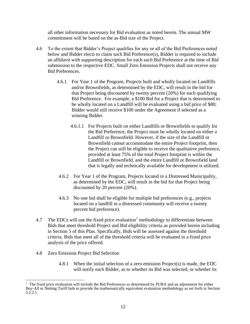all other information necessary for Bid evaluation as noted herein. The annual MW commitment will be based on the as-Bid size of the Project.

- 4.6 To the extent that Bidder's Project qualifies for any or all of the Bid Preferences noted below and Bidder elects to claim such Bid Preference(s), Bidder is required to include an affidavit with supporting description for each such Bid Preference at the time of Bid submission to the respective EDC. Small Zero Emission Projects shall not receive any Bid Preferences.
	- 4.6.1 For Year 1 of the Program, Projects built and wholly located on Landfills and/or Brownfields, as determined by the EDC, will result in the bid for that Project being discounted by twenty percent (20%) for each qualifying Bid Preference. For example, a \$100 Bid for a Project that is determined to be wholly located on a Landfill will be evaluated using a bid price of \$80; Bidder would still receive \$100 under the Agreement if selected as a winning Bidder.
		- 4.6.1.1 For Projects built on either Landfills or Brownfields to qualify for the Bid Preference, the Project must be wholly located on either a Landfill or Brownfield. However, if the size of the Landfill or Brownfield cannot accommodate the entire Project footprint, then the Project can still be eligible to receive the qualitative preference, provided at least 75% of the total Project footprint is within the Landfill or Brownfield, and the entire Landfill or Brownfield land that is legally and technically available for development is utilized.
	- 4.6.2 For Year 1 of the Program, Projects located in a Distressed Municipality, as determined by the EDC, will result in the bid for that Project being discounted by 20 percent (20%).
	- 4.6.3 No one bid shall be eligible for multiple bid preferences (e.g., projects located on a landfill in a distressed community will receive a twenty percent bid preference).
- 4.7 The EDCs will use the fixed price evaluation<sup>7</sup> methodology to differentiate between Bids that meet threshold Project and Bid eligibility criteria as provided herein including in Section 5 of this Plan. Specifically, Bids will be assessed against the threshold criteria. Bids that meet all of the threshold criteria will be evaluated in a fixed price analysis of the price offered.
- 4.8 Zero Emission Project Bid Selection
	- 4.8.1 When the initial selection of a zero emission Project(s) is made, the EDC will notify each Bidder, as to whether its Bid was selected, or whether its

<sup>&</sup>lt;sup>7</sup> The fixed price evaluation will include the Bid Preferences as determined by PURA and an adjustment for either Buy-All or Netting Tariff bids to provide the mathematically equivalent evaluation methodology as set forth in Section 5.2.2.1.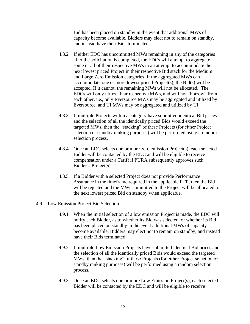Bid has been placed on standby in the event that additional MWs of capacity become available. Bidders may elect not to remain on standby, and instead have their Bids terminated.

- 4.8.2 If either EDC has uncommitted MWs remaining in any of the categories after the solicitation is completed, the EDCs will attempt to aggregate some or all of their respective MWs in an attempt to accommodate the next lowest priced Project in their respective Bid stack for the Medium and Large Zero Emission categories. If the aggregated MWs can accommodate one or more lowest priced Project(s), the Bid(s) will be accepted. If it cannot, the remaining MWs will not be allocated. The EDCs will only utilize their respective MWs, and will not "borrow" from each other, i.e., only Eversource MWs may be aggregated and utilized by Eversource, and UI MWs may be aggregated and utilized by UI.
- 4.8.3 If multiple Projects within a category have submitted identical Bid prices and the selection of all the identically priced Bids would exceed the targeted MWs, then the "stacking" of these Projects (for either Project selection or standby ranking purposes) will be performed using a random selection process.
- 4.8.4 Once an EDC selects one or more zero emission Project(s), each selected Bidder will be contacted by the EDC and will be eligible to receive compensation under a Tariff if PURA subsequently approves such Bidder's Project(s).
- 4.8.5 If a Bidder with a selected Project does not provide Performance Assurance in the timeframe required in the applicable RFP, then the Bid will be rejected and the MWs committed to the Project will be allocated to the next lowest priced Bid on standby when applicable.
- 4.9 Low Emission Project Bid Selection
	- 4.9.1 When the initial selection of a low emission Project is made, the EDC will notify each Bidder, as to whether its Bid was selected, or whether its Bid has been placed on standby in the event additional MWs of capacity become available. Bidders may elect not to remain on standby, and instead have their Bids terminated.
	- 4.9.2 If multiple Low Emission Projects have submitted identical Bid prices and the selection of all the identically priced Bids would exceed the targeted MWs, then the "stacking" of these Projects (for either Project selection or standby ranking purposes) will be performed using a random selection process.
	- 4.9.3 Once an EDC selects one or more Low Emission Project(s), each selected Bidder will be contacted by the EDC and will be eligible to receive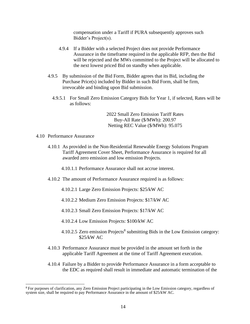compensation under a Tariff if PURA subsequently approves such Bidder's Project(s).

- 4.9.4 If a Bidder with a selected Project does not provide Performance Assurance in the timeframe required in the applicable RFP, then the Bid will be rejected and the MWs committed to the Project will be allocated to the next lowest priced Bid on standby when applicable.
- 4.9.5 By submission of the Bid Form, Bidder agrees that its Bid, including the Purchase Price(s) included by Bidder in such Bid Form, shall be firm, irrevocable and binding upon Bid submission.
	- 4.9.5.1 For Small Zero Emission Category Bids for Year 1, if selected, Rates will be as follows:

2022 Small Zero Emission Tariff Rates Buy-All Rate (\$/MWh): 200.97 Netting REC Value (\$/MWh): 95.075

- 4.10 Performance Assurance
	- 4.10.1 As provided in the Non-Residential Renewable Energy Solutions Program Tariff Agreement Cover Sheet, Performance Assurance is required for all awarded zero emission and low emission Projects.
		- 4.10.1.1 Performance Assurance shall not accrue interest.
	- 4.10.2 The amount of Performance Assurance required is as follows:
		- 4.10.2.1 Large Zero Emission Projects: \$25/kW AC
		- 4.10.2.2 Medium Zero Emission Projects: \$17/kW AC
		- 4.10.2.3 Small Zero Emission Projects: \$17/kW AC
		- 4.10.2.4 Low Emission Projects: \$100/kW AC
		- $4.10.2.5$  Zero emission Projects<sup>8</sup> submitting Bids in the Low Emission category: \$25/kW AC
	- 4.10.3 Performance Assurance must be provided in the amount set forth in the applicable Tariff Agreement at the time of Tariff Agreement execution.
	- 4.10.4 Failure by a Bidder to provide Performance Assurance in a form acceptable to the EDC as required shall result in immediate and automatic termination of the

<sup>8</sup> For purposes of clarification, any Zero Emission Project participating in the Low Emission category, regardless of system size, shall be required to pay Performance Assurance in the amount of \$25/kW AC.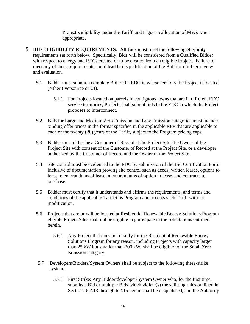Project's eligibility under the Tariff, and trigger reallocation of MWs when appropriate.

- **5 BID ELIGIBILITY REQUIREMENTS**. All Bids must meet the following eligibility requirements set forth below. Specifically, Bids will be considered from a Qualified Bidder with respect to energy and RECs created or to be created from an eligible Project. Failure to meet any of these requirements could lead to disqualification of the Bid from further review and evaluation.
	- 5.1 Bidder must submit a complete Bid to the EDC in whose territory the Project is located (either Eversource or UI).
		- 5.1.1 For Projects located on parcels in contiguous towns that are in different EDC service territories, Projects shall submit bids to the EDC in which the Project proposes to interconnect.
	- 5.2 Bids for Large and Medium Zero Emission and Low Emission categories must include binding offer prices in the format specified in the applicable RFP that are applicable to each of the twenty (20) years of the Tariff, subject to the Program pricing caps.
	- 5.3 Bidder must either be a Customer of Record at the Project Site, the Owner of the Project Site with consent of the Customer of Record at the Project Site, or a developer authorized by the Customer of Record and the Owner of the Project Site.
	- 5.4 Site control must be evidenced to the EDC by submission of the Bid Certification Form inclusive of documentation proving site control such as deeds, written leases, options to lease, memorandums of lease, memorandums of option to lease, and contracts to purchase.
	- 5.5 Bidder must certify that it understands and affirms the requirements, and terms and conditions of the applicable Tariff/this Program and accepts such Tariff without modification.
	- 5.6 Projects that are or will be located at Residential Renewable Energy Solutions Program eligible Project Sites shall not be eligible to participate in the solicitations outlined herein.
		- 5.6.1 Any Project that does not qualify for the Residential Renewable Energy Solutions Program for any reason, including Projects with capacity larger than 25 kW but smaller than 200 kW, shall be eligible for the Small Zero Emission category.
	- 5.7 Developers/Bidders/System Owners shall be subject to the following three-strike system:
		- 5.7.1 First Strike: Any Bidder/developer/System Owner who, for the first time, submits a Bid or multiple Bids which violate(s) the splitting rules outlined in Sections 6.2.13 through 6.2.15 herein shall be disqualified, and the Authority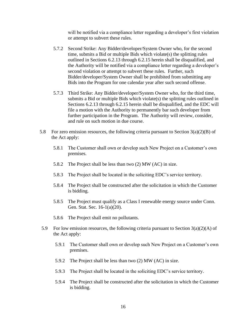will be notified via a compliance letter regarding a developer's first violation or attempt to subvert these rules.

- 5.7.2 Second Strike: Any Bidder/developer/System Owner who, for the second time, submits a Bid or multiple Bids which violate(s) the splitting rules outlined in Sections 6.2.13 through 6.2.15 herein shall be disqualified, and the Authority will be notified via a compliance letter regarding a developer's second violation or attempt to subvert these rules. Further, such Bidder/developer/System Owner shall be prohibited from submitting any Bids into the Program for one calendar year after such second offense.
- 5.7.3 Third Strike: Any Bidder/developer/System Owner who, for the third time, submits a Bid or multiple Bids which violate(s) the splitting rules outlined in Sections 6.2.13 through 6.2.15 herein shall be disqualified, and the EDC will file a motion with the Authority to permanently bar such developer from further participation in the Program. The Authority will review, consider, and rule on such motion in due course.
- 5.8 For zero emission resources, the following criteria pursuant to Section  $3(a)(2)(B)$  of the Act apply:
	- 5.8.1 The Customer shall own or develop such New Project on a Customer's own premises.
	- 5.8.2 The Project shall be less than two (2) MW (AC) in size.
	- 5.8.3 The Project shall be located in the soliciting EDC's service territory.
	- 5.8.4 The Project shall be constructed after the solicitation in which the Customer is bidding.
	- 5.8.5 The Project must qualify as a Class I renewable energy source under Conn. Gen. Stat. Sec. 16-1(a)(20).
	- 5.8.6 The Project shall emit no pollutants.
- 5.9 For low emission resources, the following criteria pursuant to Section  $3(a)(2)(A)$  of the Act apply:
	- 5.9.1 The Customer shall own or develop such New Project on a Customer's own premises.
	- 5.9.2 The Project shall be less than two (2) MW (AC) in size.
	- 5.9.3 The Project shall be located in the soliciting EDC's service territory.
	- 5.9.4 The Project shall be constructed after the solicitation in which the Customer is bidding.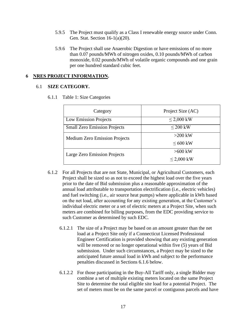- 5.9.5 The Project must qualify as a Class I renewable energy source under Conn. Gen. Stat. Section 16-1(a)(20).
- 5.9.6 The Project shall use Anaerobic Digestion or have emissions of no more than 0.07 pounds/MWh of nitrogen oxides, 0.10 pounds/MWh of carbon monoxide, 0.02 pounds/MWh of volatile organic compounds and one grain per one hundred standard cubic feet.

#### **6 NRES PROJECT INFORMATION.**

#### 6.1 **SIZE CATEGORY.**

|  |  | 6.1.1 Table 1: Size Categories |
|--|--|--------------------------------|
|  |  |                                |

| Category                             | Project Size (AC) |  |  |
|--------------------------------------|-------------------|--|--|
| Low Emission Projects                | $\leq$ 2,000 kW   |  |  |
| <b>Small Zero Emission Projects</b>  | $\leq$ 200 kW     |  |  |
| <b>Medium Zero Emission Projects</b> | $>200$ kW         |  |  |
|                                      | $\leq 600$ kW     |  |  |
| Large Zero Emission Projects         | $>600$ kW         |  |  |
|                                      | $\leq$ 2,000 kW   |  |  |

- 6.1.2 For all Projects that are not State, Municipal, or Agricultural Customers, each Project shall be sized so as not to exceed the highest load over the five years prior to the date of Bid submission plus a reasonable approximation of the annual load attributable to transportation electrification (i.e., electric vehicles) and fuel switching (i.e., air source heat pumps) where applicable in kWh based on the net load, after accounting for any existing generation, at the Customer's individual electric meter or a set of electric meters at a Project Site, when such meters are combined for billing purposes, from the EDC providing service to such Customer as determined by such EDC.
	- 6.1.2.1 The size of a Project may be based on an amount greater than the net load at a Project Site only if a Connecticut Licensed Professional Engineer Certification is provided showing that any existing generation will be removed or no longer operational within five (5) years of Bid submission. Under such circumstances, a Project may be sized to the anticipated future annual load in kWh and subject to the performance penalties discussed in Sections 6.1.6 below.
	- 6.1.2.2 For those participating in the Buy-All Tariff only, a single Bidder may combine a set of multiple existing meters located on the same Project Site to determine the total eligible site load for a potential Project. The set of meters must be on the same parcel or contiguous parcels and have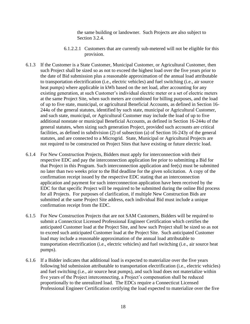the same building or landowner. Such Projects are also subject to Section 3.2.4.

- 6.1.2.2.1 Customers that are currently sub-metered will not be eligible for this provision.
- 6.1.3 If the Customer is a State Customer, Municipal Customer, or Agricultural Customer, then such Project shall be sized so as not to exceed the highest load over the five years prior to the date of Bid submission plus a reasonable approximation of the annual load attributable to transportation electrification (i.e., electric vehicles) and fuel switching (i.e., air source heat pumps) where applicable in kWh based on the net load, after accounting for any existing generation, at such Customer's individual electric meter or a set of electric meters at the same Project Site, when such meters are combined for billing purposes, and the load of up to five state, municipal, or agricultural Beneficial Accounts, as defined in Section 16- 244u of the general statutes, identified by such state, municipal or Agricultural Customer, and such state, municipal, or Agricultural Customer may include the load of up to five additional nonstate or municipal Beneficial Accounts, as defined in Section 16-244u of the general statutes, when sizing such generation Project, provided such accounts are critical facilities, as defined in subdivision (2) of subsection (a) of Section 16-243y of the general statutes, and are connected to a Microgrid. State, Municipal or Agricultural Projects are not required to be constructed on Project Sites that have existing or future electric load.
- 6.1.4 For New Construction Projects, Bidders must apply for interconnection with their respective EDC and pay the interconnection application fee prior to submitting a Bid for that Project in this Program. Such interconnection application and fee(s) must be submitted no later than two weeks prior to the Bid deadline for the given solicitation. A copy of the confirmation receipt issued by the respective EDC stating that an interconnection application and payment for such interconnection application have been received by the EDC for that specific Project will be required to be submitted during the online Bid process for all Projects. For purposes of clarification, if multiple New Construction Bids are submitted at the same Project Site address, each individual Bid must include a unique confirmation receipt from the EDC.
- 6.1.5 For New Construction Projects that are not SAM Customers, Bidders will be required to submit a Connecticut Licensed Professional Engineer Certification which certifies the anticipated Customer load at the Project Site, and how such Project shall be sized so as not to exceed such anticipated Customer load at the Project Site. Such anticipated Customer load may include a reasonable approximation of the annual load attributable to transportation electrification (i.e., electric vehicles) and fuel switching (i.e., air source heat pumps).
- 6.1.6 If a Bidder indicates that additional load is expected to materialize over the five years following bid submission attributable to transportation electrification (i.e., electric vehicles) and fuel switching (i.e., air source heat pumps), and such load does not materialize within five years of the Project interconnecting, a Project's compensation shall be reduced proportionally to the unrealized load. The EDCs require a Connecticut Licensed Professional Engineer Certification certifying the load expected to materialize over the five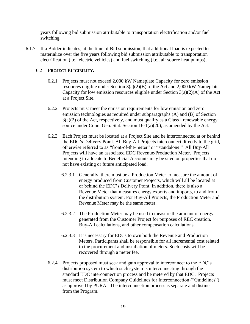years following bid submission attributable to transportation electrification and/or fuel switching.

6.1.7 If a Bidder indicates, at the time of Bid submission, that additional load is expected to materialize over the five years following bid submission attributable to transportation electrification (i.e., electric vehicles) and fuel switching (i.e., air source heat pumps),

#### 6.2 **PROJECT ELIGIBILITY.**

- 6.2.1 Projects must not exceed 2,000 kW Nameplate Capacity for zero emission resources eligible under Section  $3(a)(2)(B)$  of the Act and 2,000 kW Nameplate Capacity for low emission resources eligible under Section  $3(a)(2)(A)$  of the Act at a Project Site.
- 6.2.2 Projects must meet the emission requirements for low emission and zero emission technologies as required under subparagraphs (A) and (B) of Section  $3(a)(2)$  of the Act, respectively, and must qualify as a Class I renewable energy source under Conn. Gen. Stat. Section 16-1(a)(20), as amended by the Act.
- 6.2.3 Each Project must be located at a Project Site and be interconnected at or behind the EDC's Delivery Point. All Buy-All Projects interconnect directly to the grid, otherwise referred to as "front-of-the-meter" or "standalone." All Buy-All Projects will have an associated EDC Revenue/Production Meter. Projects intending to allocate to Beneficial Accounts may be sited on properties that do not have existing or future anticipated load.
	- 6.2.3.1 Generally, there must be a Production Meter to measure the amount of energy produced from Customer Projects, which will all be located at or behind the EDC's Delivery Point. In addition, there is also a Revenue Meter that measures energy exports and imports, to and from the distribution system. For Buy-All Projects, the Production Meter and Revenue Meter may be the same meter.
	- 6.2.3.2 The Production Meter may be used to measure the amount of energy generated from the Customer Project for purposes of REC creation, Buy-All calculations, and other compensation calculations.
	- 6.2.3.3 It is necessary for EDCs to own both the Revenue and Production Meters. Participants shall be responsible for all incremental cost related to the procurement and installation of meters. Such costs will be recovered through a meter fee.
- 6.2.4 Projects proposed must seek and gain approval to interconnect to the EDC's distribution system to which such system is interconnecting through the standard EDC interconnection process and be metered by that EDC. Projects must meet Distribution Company Guidelines for Interconnection ("Guidelines") as approved by PURA. The interconnection process is separate and distinct from the Program.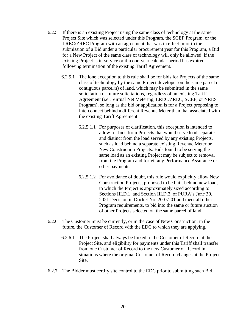- 6.2.5 If there is an existing Project using the same class of technology at the same Project Site which was selected under this Program, the SCEF Program, or the LREC/ZREC Program with an agreement that was in effect prior to the submission of a Bid under a particular procurement year for this Program, a Bid for a New Project of the same class of technology will only be allowed if the existing Project is in-service or if a one-year calendar period has expired following termination of the existing Tariff Agreement.
	- 6.2.5.1 The lone exception to this rule shall be for bids for Projects of the same class of technology by the same Project developer on the same parcel or contiguous parcel(s) of land, which may be submitted in the same solicitation or future solicitations, regardless of an existing Tariff Agreement (i.e., Virtual Net Metering, LREC/ZREC, SCEF, or NRES Program), so long as the bid or application is for a Project proposing to interconnect behind a different Revenue Meter than that associated with the existing Tariff Agreement.
		- 6.2.5.1.1 For purposes of clarification, this exception is intended to allow for bids from Projects that would serve load separate and distinct from the load served by any existing Projects, such as load behind a separate existing Revenue Meter or New Construction Projects. Bids found to be serving the same load as an existing Project may be subject to removal from the Program and forfeit any Performance Assurance or other payments.
		- 6.2.5.1.2 For avoidance of doubt, this rule would explicitly allow New Construction Projects, proposed to be built behind new load, to which the Project is approximately sized according to Sections III.D.1. and Section III.D.2. of PURA's June 30, 2021 Decision in Docket No. 20-07-01 and meet all other Program requirements, to bid into the same or future auction of other Projects selected on the same parcel of land.
- 6.2.6 The Customer must be currently, or in the case of New Construction, in the future, the Customer of Record with the EDC to which they are applying.
	- 6.2.6.1 The Project shall always be linked to the Customer of Record at the Project Site, and eligibility for payments under this Tariff shall transfer from one Customer of Record to the new Customer of Record in situations where the original Customer of Record changes at the Project Site.
- 6.2.7 The Bidder must certify site control to the EDC prior to submitting such Bid.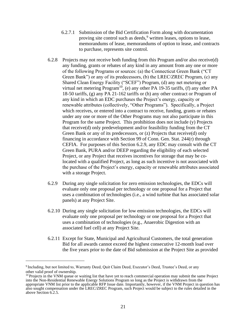- 6.2.7.1 Submission of the Bid Certification Form along with documentation proving site control such as deeds,<sup>9</sup> written leases, options to lease, memorandums of lease, memorandums of option to lease, and contracts to purchase, represents site control.
- 6.2.8 Projects may not receive both funding from this Program and/or also receive(d) any funding, grants or rebates of any kind in any amount from any one or more of the following Programs or sources: (a) the Connecticut Green Bank ("CT Green Bank") or any of its predecessors, (b) the LREC/ZREC Program, (c) any Shared Clean Energy Facility ("SCEF") Program, (d) any net metering or virtual net metering Program<sup>10</sup>, (e) any other PA 19-35 tariffs, (f) any other PA 18-50 tariffs, (g) any PA 21-162 tariffs or (h) any other contract or Program of any kind in which an EDC purchases the Project's energy, capacity or renewable attributes (collectively, "Other Programs"). Specifically, a Project which receives, or entered into a contract to receive, funding, grants or rebates under any one or more of the Other Programs may not also participate in this Program for the same Project. This prohibition does not include (y) Projects that receive(d) only predevelopment and/or feasibility funding from the CT Green Bank or any of its predecessors, or (z) Projects that receive(d) only financing in accordance with Section 99 of Conn. Gen. Stat. 244(r) through CEFIA. For purposes of this Section 6.2.9, any EDC may consult with the CT Green Bank, PURA and/or DEEP regarding the eligibility of each selected Project, or any Project that receives incentives for storage that may be colocated with a qualified Project, as long as such incentive is not associated with the purchase of the Project's energy, capacity or renewable attributes associated with a storage Project.
- 6.2.9 During any single solicitation for zero emission technologies, the EDCs will evaluate only one proposal per technology or one proposal for a Project that uses a combination of technologies (i.e., a wind turbine that has associated solar panels) at any Project Site.
- 6.2.10 During any single solicitation for low emission technologies, the EDCs will evaluate only one proposal per technology or one proposal for a Project that uses a combination of technologies (e.g., Anaerobic Digestion with an associated fuel cell) at any Project Site.
- 6.2.11 Except for State, Municipal and Agricultural Customers, the total generation Bid for all awards cannot exceed the highest consecutive 12-month load over the five years prior to the date of Bid submission at the Project Site as provided

<sup>9</sup> Including, but not limited to, Warranty Deed, Quit Claim Deed, Executor's Deed, Trustee's Deed, or any other valid proof of ownership.

<sup>&</sup>lt;sup>10</sup> Projects in the VNM queue or waiting list that have yet to reach commercial operation may submit the same Project into the Non-Residential Renewable Energy Solutions Program so long as the Project is withdrawn from the appropriate VNM list prior to the applicable RFP Issue date. Importantly, however, if the VNM Project in question has also sought compensation under the LREC/ZREC Program, such Project would be subject to the rules detailed in the above Section 6.2.5.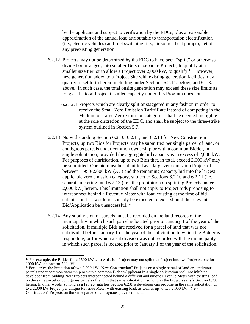by the applicant and subject to verification by the EDCs, plus a reasonable approximation of the annual load attributable to transportation electrification (i.e., electric vehicles) and fuel switching (i.e., air source heat pumps), net of any preexisting generation.

- 6.2.12 Projects may not be determined by the EDC to have been "split," or otherwise divided or arranged, into smaller Bids or separate Projects, to qualify at a smaller size tier, or to allow a Project over 2,000 kW, to qualify.<sup>11</sup> However, new generation added to a Project Site with existing generation facilities may qualify as set forth herein including under Sections 6.2.14. below, and 6.1.3. above. In such case, the total onsite generation may exceed these size limits as long as the total Project installed capacity under this Program does not.
	- 6.2.12.1 Projects which are clearly split or staggered in any fashion in order to receive the Small Zero Emission Tariff Rate instead of competing in the Medium or Large Zero Emission categories shall be deemed ineligible at the sole discretion of the EDC, and shall be subject to the three-strike system outlined in Section 5.7.
- 6.2.13 Notwithstanding Section 6.2.10, 6.2.11, and 6.2.13 for New Construction Projects, up two Bids for Projects may be submitted per single parcel of land, or contiguous parcels under common ownership or with a common Bidder, in a single solicitation, provided the aggregate bid capacity is in excess of 2,000 kW. For purposes of clarification, up to two Bids that, in total, exceed 2,000 kW may be submitted. One bid must be submitted as a large zero emission Project of between 1,950-2,000 kW (AC) and the remaining capacity bid into the largest applicable zero emission category, subject to Sections 6.2.10 and 6.2.11 (i.e., separate metering) and 6.2.13 (i.e., the prohibition on splitting Projects under 2,000 kW) herein. This limitation shall not apply to Project bids proposing to interconnect behind a Revenue Meter with load existing at the time of bid submission that would reasonably be expected to exist should the relevant Bid/Application be unsuccessful.<sup>12</sup>
- 6.2.14 Any subdivision of parcels must be recorded on the land records of the municipality in which such parcel is located prior to January 1 of the year of the solicitation. If multiple Bids are received for a parcel of land that was not subdivided before January 1 of the year of the solicitation to which the Bidder is responding, or for which a subdivision was not recorded with the municipality in which such parcel is located prior to January 1 of the year of the solicitation,

<sup>&</sup>lt;sup>11</sup> For example, the Bidder for a 1500 kW zero emission Project may not split that Project into two Projects, one for 1000 kW and one for 500 kW.

 $12$  For clarity, the limitation of two 2,000 kW "New Construction" Projects on a single parcel of land or contiguous parcels under common ownership or with a common Bidder/Applicant in a single solicitation shall not inhibit a developer from bidding New Projects interconnected behind a different and unique Revenue Meter with existing load on the same parcel or contiguous parcels of land in that same solicitation, so long as the Projects satisfy Section 6.2.8 herein. In other words, so long as a Project satisfies Section 6.2.8, a developer can propose in the same solicitation up to a 2,000 kW Project per unique Revenue Meter with existing load, as well as up to two 2,000 kW "New Construction" Projects on the same parcel or contiguous parcels of land.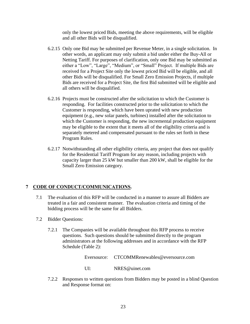only the lowest priced Bids, meeting the above requirements, will be eligible and all other Bids will be disqualified.

- 6.2.15 Only one Bid may be submitted per Revenue Meter, in a single solicitation. In other words, an applicant may only submit a bid under either the Buy-All or Netting Tariff. For purposes of clarification, only one Bid may be submitted as either a "Low", "Large", "Medium", or "Small" Project. If multiple Bids are received for a Project Site only the lowest priced Bid will be eligible, and all other Bids will be disqualified. For Small Zero Emission Projects, if multiple Bids are received for a Project Site, the first Bid submitted will be eligible and all others will be disqualified.
- 6.2.16 Projects must be constructed after the solicitation to which the Customer is responding. For facilities constructed prior to the solicitation to which the Customer is responding, which have been uprated with new production equipment (e.g., new solar panels, turbines) installed after the solicitation to which the Customer is responding, the new incremental production equipment may be eligible to the extent that it meets all of the eligibility criteria and is separately metered and compensated pursuant to the rules set forth in these Program Rules.
- 6.2.17 Notwithstanding all other eligibility criteria, any project that does not qualify for the Residential Tariff Program for any reason, including projects with capacity larger than 25 kW but smaller than 200 kW, shall be eligible for the Small Zero Emission category.

#### **7 CODE OF CONDUCT/COMMUNICATIONS.**

- 7.1 The evaluation of this RFP will be conducted in a manner to assure all Bidders are treated in a fair and consistent manner. The evaluation criteria and timing of the bidding process will be the same for all Bidders.
- 7.2 Bidder Questions:
	- 7.2.1 The Companies will be available throughout this RFP process to receive questions. Such questions should be submitted directly to the program administrators at the following addresses and in accordance with the RFP Schedule (Table 2):

Eversource: CTCOMMRenewables@eversource.com

- UI: NRES@uinet.com
- 7.2.2 Responses to written questions from Bidders may be posted in a blind Question and Response format on: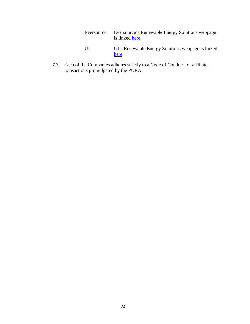| Eversource: Eversource's Renewable Energy Solutions webpage |
|-------------------------------------------------------------|
| is linked here.                                             |

- UI: UI's Renewable Energy Solutions webpage is linked [here.](https://www.uinet.com/wps/portal/uinet/smartenergy/innovation/distributed_generation/!ut/p/z1/vZNLc4IwFIV_SxcsmUQegkukFGl5jAoC2TAUAsYpQTHa9t83dJzBjdLpdJpdMvfcfDn3BCCQAETzM6lzRlqav_F9iqaZPPGshWJCX3cUFS6Dtee_uKEEXQnEdwumMkA_0cMby4Bj-g1AABWU7dkWpCdCMcvrLhveIMAtzkvcCfDY5B3DFHf1pwAJpe35UlCSI-vI64nhMqv7gu_zvu--ICVIZ5qiltJUFUsN5qIiqVjUK6yLsJLkoqxmUC6Lvjo2vcx2g7nhZmbgh1YSglSAkeNboWGvMv-KaXFhWvdM1oXJuWJ6vGKyB6Z4bBzovplxzzkyr7EeKWfQhg5w40x4B-9JWc4DSXc1EJ8JfgcRbbuGJ2j9OyOXkbXiN_2DpwsInsdSxr8B2R0OyOBZaynDHwwkfxo2foHUeaZXc69ythUJrVqQDEKQ3BDumyhqdLkRE7hT60b_EO1YPxoPX-GydwU!/dz/d5/L2dBISEvZ0FBIS9nQSEh/?WCM_GLOBAL_CONTEXT=%2FUINETAGR_Navigation%2FHeader%2FSmartEnergy%2FInnovation%2FDistributed_Generation)
- 7.3 Each of the Companies adheres strictly to a Code of Conduct for affiliate transactions promulgated by the PURA.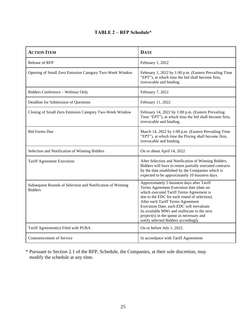#### **TABLE 2 – RFP Schedule\***

| <b>ACTION ITEM</b>                                                           | <b>DATE</b>                                                                                                                                                                                                                                                                                                                                                                                            |
|------------------------------------------------------------------------------|--------------------------------------------------------------------------------------------------------------------------------------------------------------------------------------------------------------------------------------------------------------------------------------------------------------------------------------------------------------------------------------------------------|
| <b>Release of RFP</b>                                                        | February 1, 2022                                                                                                                                                                                                                                                                                                                                                                                       |
| Opening of Small Zero Emission Category Two-Week Window                      | February 1, 2022 by 1:00 p.m. (Eastern Prevailing Time<br>"EPT"), at which time the bid shall become firm,<br>irrevocable and binding.                                                                                                                                                                                                                                                                 |
| Bidders Conference - Webinar Only                                            | February 7, 2022                                                                                                                                                                                                                                                                                                                                                                                       |
| Deadline for Submission of Questions                                         | February 11, 2022                                                                                                                                                                                                                                                                                                                                                                                      |
| Closing of Small Zero Emission Category Two-Week Window                      | February 14, 2022 by 1:00 p.m. (Eastern Prevailing<br>Time "EPT"), at which time the bid shall become firm,<br>irrevocable and binding.                                                                                                                                                                                                                                                                |
| <b>Bid Forms Due</b>                                                         | March 14, 2022 by 1:00 p.m. (Eastern Prevailing Time<br>"EPT"), at which time the Pricing shall become firm,<br>irrevocable and binding.                                                                                                                                                                                                                                                               |
| Selection and Notification of Winning Bidders                                | On or about April 14, 2022                                                                                                                                                                                                                                                                                                                                                                             |
| <b>Tariff Agreement Execution</b>                                            | After Selection and Notification of Winning Bidders.<br>Bidders will have to return partially executed contracts<br>by the date established by the Companies which is<br>expected to be approximately 10 business days.                                                                                                                                                                                |
| Subsequent Rounds of Selection and Notification of Winning<br><b>Bidders</b> | Approximately 5 business days after Tariff<br>Terms Agreement Execution date (date on<br>which executed Tariff Terms Agreement is<br>due to the EDC for each round of selection).<br>After each Tariff Terms Agreement<br>Execution Date, each EDC will reevaluate<br>its available MWs and reallocate to the next<br>project(s) in the queue as necessary and<br>notify selected Bidders accordingly. |
| Tariff Agreement(s) Filed with PURA                                          | On or before July 1, 2022.                                                                                                                                                                                                                                                                                                                                                                             |
| Commencement of Service                                                      | In accordance with Tariff Agreements                                                                                                                                                                                                                                                                                                                                                                   |

\* Pursuant to Section 2.1 of the RFP, Schedule, the Companies, at their sole discretion, may modify the schedule at any time.